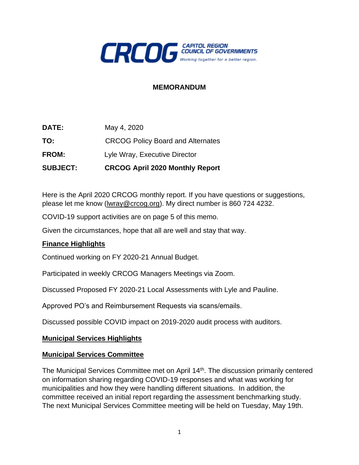

## **MEMORANDUM**

| <b>SUBJECT:</b> | <b>CRCOG April 2020 Monthly Report</b>   |
|-----------------|------------------------------------------|
| FROM:           | Lyle Wray, Executive Director            |
| TO:             | <b>CRCOG Policy Board and Alternates</b> |
| <b>DATE:</b>    | May 4, 2020                              |

Here is the April 2020 CRCOG monthly report. If you have questions or suggestions, please let me know [\(lwray@crcog.org\)](mailto:lwray@crcog.org). My direct number is 860 724 4232.

COVID-19 support activities are on page 5 of this memo.

Given the circumstances, hope that all are well and stay that way.

## **Finance Highlights**

Continued working on FY 2020-21 Annual Budget.

Participated in weekly CRCOG Managers Meetings via Zoom.

Discussed Proposed FY 2020-21 Local Assessments with Lyle and Pauline.

Approved PO's and Reimbursement Requests via scans/emails.

Discussed possible COVID impact on 2019-2020 audit process with auditors.

#### **Municipal Services Highlights**

#### **Municipal Services Committee**

The Municipal Services Committee met on April 14<sup>th</sup>. The discussion primarily centered on information sharing regarding COVID-19 responses and what was working for municipalities and how they were handling different situations. In addition, the committee received an initial report regarding the assessment benchmarking study. The next Municipal Services Committee meeting will be held on Tuesday, May 19th.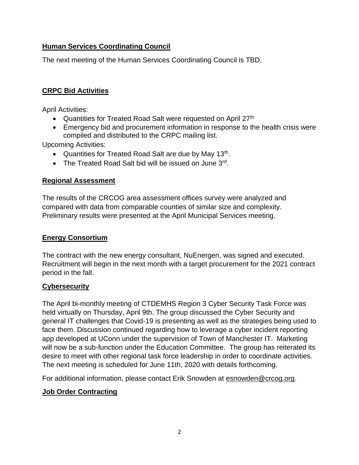# **Human Services Coordinating Council**

The next meeting of the Human Services Coordinating Council is TBD.

## **CRPC Bid Activities**

April Activities:

- Quantities for Treated Road Salt were requested on April 27<sup>th</sup>
- Emergency bid and procurement information in response to the health crisis were compiled and distributed to the CRPC mailing list.

Upcoming Activities:

- Quantities for Treated Road Salt are due by May 13<sup>th</sup>.
- The Treated Road Salt bid will be issued on June 3rd.

## **Regional Assessment**

The results of the CRCOG area assessment offices survey were analyzed and compared with data from comparable counties of similar size and complexity. Preliminary results were presented at the April Municipal Services meeting.

## **Energy Consortium**

The contract with the new energy consultant, NuEnergen, was signed and executed. Recruitment will begin in the next month with a target procurement for the 2021 contract period in the fall.

## **Cybersecurity**

The April bi-monthly meeting of CTDEMHS Region 3 Cyber Security Task Force was held virtually on Thursday, April 9th. The group discussed the Cyber Security and general IT challenges that Covid-19 is presenting as well as the strategies being used to face them. Discussion continued regarding how to leverage a cyber incident reporting app developed at UConn under the supervision of Town of Manchester IT. Marketing will now be a sub-function under the Education Committee. The group has reiterated its desire to meet with other regional task force leadership in order to coordinate activities. The next meeting is scheduled for June 11th, 2020 with details forthcoming.

For additional information, please contact Erik Snowden at [esnowden@crcog.org.](mailto:esnowden@crcog.org)

## **Job Order Contracting**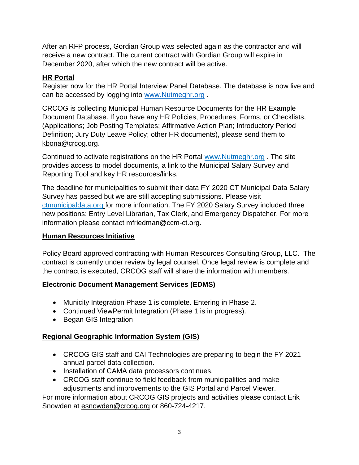After an RFP process, Gordian Group was selected again as the contractor and will receive a new contract. The current contract with Gordian Group will expire in December 2020, after which the new contract will be active.

## **HR Portal**

Register now for the HR Portal Interview Panel Database. The database is now live and can be accessed by logging into [www.Nutmeghr.org](http://www.nutmeghr.org/) .

CRCOG is collecting Municipal Human Resource Documents for the HR Example Document Database. If you have any HR Policies, Procedures, Forms, or Checklists, (Applications; Job Posting Templates; Affirmative Action Plan; Introductory Period Definition; Jury Duty Leave Policy; other HR documents), please send them to [kbona@crcog.org.](mailto:mairto:kbona@crcog.org)

Continued to activate registrations on the HR Portal [www.Nutmeghr.org](http://www.nutmeghr.org/) . The site provides access to model documents, a link to the Municipal Salary Survey and Reporting Tool and key HR resources/links.

The deadline for municipalities to submit their data FY 2020 CT Municipal Data Salary Survey has passed but we are still accepting submissions. Please visit [ctmunicipaldata.org](https://ctmunicipaldata.org/) for more information. The FY 2020 Salary Survey included three new positions; Entry Level Librarian, Tax Clerk, and Emergency Dispatcher. For more information please contact [mfriedman@ccm-ct.org.](mailto:mfriedman@ccm-ct.org)

## **Human Resources Initiative**

Policy Board approved contracting with Human Resources Consulting Group, LLC. The contract is currently under review by legal counsel. Once legal review is complete and the contract is executed, CRCOG staff will share the information with members.

## **Electronic Document Management Services (EDMS)**

- Municity Integration Phase 1 is complete. Entering in Phase 2.
- Continued ViewPermit Integration (Phase 1 is in progress).
- Began GIS Integration

# **Regional Geographic Information System (GIS)**

- CRCOG GIS staff and CAI Technologies are preparing to begin the FY 2021 annual parcel data collection.
- Installation of CAMA data processors continues.
- CRCOG staff continue to field feedback from municipalities and make adjustments and improvements to the GIS Portal and Parcel Viewer.

For more information about CRCOG GIS projects and activities please contact Erik Snowden at [esnowden@crcog.org](mailto:esnowden@crcog.org) or 860-724-4217.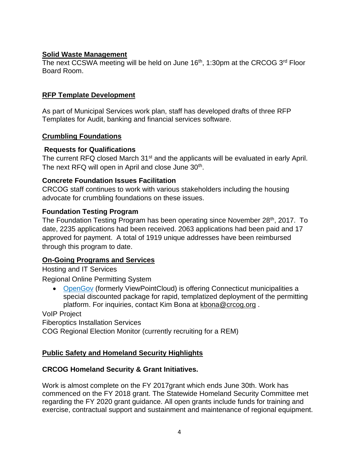## **Solid Waste Management**

The next CCSWA meeting will be held on June 16<sup>th</sup>, 1:30pm at the CRCOG 3<sup>rd</sup> Floor Board Room.

#### **RFP Template Development**

As part of Municipal Services work plan, staff has developed drafts of three RFP Templates for Audit, banking and financial services software.

#### **Crumbling Foundations**

#### **Requests for Qualifications**

The current RFQ closed March 31<sup>st</sup> and the applicants will be evaluated in early April. The next RFQ will open in April and close June 30<sup>th</sup>.

## **Concrete Foundation Issues Facilitation**

CRCOG staff continues to work with various stakeholders including the housing advocate for crumbling foundations on these issues.

#### **Foundation Testing Program**

The Foundation Testing Program has been operating since November  $28<sup>th</sup>$ , 2017. To date, 2235 applications had been received. 2063 applications had been paid and 17 approved for payment. A total of 1919 unique addresses have been reimbursed through this program to date.

## **On-Going Programs and Services**

Hosting and IT Services

Regional Online Permitting System

• [OpenGov](http://opengov.com/) (formerly ViewPointCloud) is offering Connecticut municipalities a special discounted package for rapid, templatized deployment of the permitting platform. For inquiries, contact Kim Bona at [kbona@crcog.org](mailto:kbona@crcog.org) .

VoIP Project

Fiberoptics Installation Services

COG Regional Election Monitor (currently recruiting for a REM)

## **Public Safety and Homeland Security Highlights**

## **CRCOG Homeland Security & Grant Initiatives.**

Work is almost complete on the FY 2017grant which ends June 30th. Work has commenced on the FY 2018 grant. The Statewide Homeland Security Committee met regarding the FY 2020 grant guidance. All open grants include funds for training and exercise, contractual support and sustainment and maintenance of regional equipment.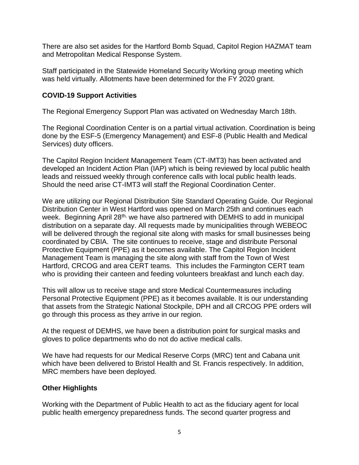There are also set asides for the Hartford Bomb Squad, Capitol Region HAZMAT team and Metropolitan Medical Response System.

Staff participated in the Statewide Homeland Security Working group meeting which was held virtually. Allotments have been determined for the FY 2020 grant.

# **COVID-19 Support Activities**

The Regional Emergency Support Plan was activated on Wednesday March 18th.

The Regional Coordination Center is on a partial virtual activation. Coordination is being done by the ESF-5 (Emergency Management) and ESF-8 (Public Health and Medical Services) duty officers.

The Capitol Region Incident Management Team (CT-IMT3) has been activated and developed an Incident Action Plan (IAP) which is being reviewed by local public health leads and reissued weekly through conference calls with local public health leads. Should the need arise CT-IMT3 will staff the Regional Coordination Center.

We are utilizing our Regional Distribution Site Standard Operating Guide. Our Regional Distribution Center in West Hartford was opened on March 25th and continues each week. Beginning April 28<sup>th,</sup> we have also partnered with DEMHS to add in municipal distribution on a separate day. All requests made by municipalities through WEBEOC will be delivered through the regional site along with masks for small businesses being coordinated by CBIA. The site continues to receive, stage and distribute Personal Protective Equipment (PPE) as it becomes available. The Capitol Region Incident Management Team is managing the site along with staff from the Town of West Hartford, CRCOG and area CERT teams. This includes the Farmington CERT team who is providing their canteen and feeding volunteers breakfast and lunch each day.

This will allow us to receive stage and store Medical Countermeasures including Personal Protective Equipment (PPE) as it becomes available. It is our understanding that assets from the Strategic National Stockpile, DPH and all CRCOG PPE orders will go through this process as they arrive in our region.

At the request of DEMHS, we have been a distribution point for surgical masks and gloves to police departments who do not do active medical calls.

We have had requests for our Medical Reserve Corps (MRC) tent and Cabana unit which have been delivered to Bristol Health and St. Francis respectively. In addition, MRC members have been deployed.

## **Other Highlights**

Working with the Department of Public Health to act as the fiduciary agent for local public health emergency preparedness funds. The second quarter progress and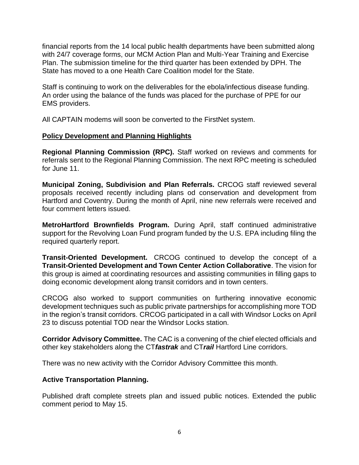financial reports from the 14 local public health departments have been submitted along with 24/7 coverage forms, our MCM Action Plan and Multi-Year Training and Exercise Plan. The submission timeline for the third quarter has been extended by DPH. The State has moved to a one Health Care Coalition model for the State.

Staff is continuing to work on the deliverables for the ebola/infectious disease funding. An order using the balance of the funds was placed for the purchase of PPE for our EMS providers.

All CAPTAIN modems will soon be converted to the FirstNet system.

#### **Policy Development and Planning Highlights**

**Regional Planning Commission (RPC).** Staff worked on reviews and comments for referrals sent to the Regional Planning Commission. The next RPC meeting is scheduled for June 11.

**Municipal Zoning, Subdivision and Plan Referrals.** CRCOG staff reviewed several proposals received recently including plans od conservation and development from Hartford and Coventry. During the month of April, nine new referrals were received and four comment letters issued.

**MetroHartford Brownfields Program.** During April, staff continued administrative support for the Revolving Loan Fund program funded by the U.S. EPA including filing the required quarterly report.

**Transit-Oriented Development.** CRCOG continued to develop the concept of a **Transit-Oriented Development and Town Center Action Collaborative**. The vision for this group is aimed at coordinating resources and assisting communities in filling gaps to doing economic development along transit corridors and in town centers.

CRCOG also worked to support communities on furthering innovative economic development techniques such as public private partnerships for accomplishing more TOD in the region's transit corridors. CRCOG participated in a call with Windsor Locks on April 23 to discuss potential TOD near the Windsor Locks station.

**Corridor Advisory Committee.** The CAC is a convening of the chief elected officials and other key stakeholders along the CT*fastrak* and CT*rail* Hartford Line corridors.

There was no new activity with the Corridor Advisory Committee this month.

## **Active Transportation Planning.**

Published draft complete streets plan and issued public notices. Extended the public comment period to May 15.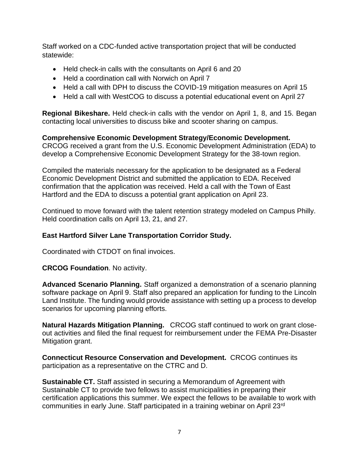Staff worked on a CDC-funded active transportation project that will be conducted statewide:

- Held check-in calls with the consultants on April 6 and 20
- Held a coordination call with Norwich on April 7
- Held a call with DPH to discuss the COVID-19 mitigation measures on April 15
- Held a call with WestCOG to discuss a potential educational event on April 27

**Regional Bikeshare.** Held check-in calls with the vendor on April 1, 8, and 15. Began contacting local universities to discuss bike and scooter sharing on campus.

## **Comprehensive Economic Development Strategy/Economic Development.**

CRCOG received a grant from the U.S. Economic Development Administration (EDA) to develop a Comprehensive Economic Development Strategy for the 38-town region.

Compiled the materials necessary for the application to be designated as a Federal Economic Development District and submitted the application to EDA. Received confirmation that the application was received. Held a call with the Town of East Hartford and the EDA to discuss a potential grant application on April 23.

Continued to move forward with the talent retention strategy modeled on Campus Philly. Held coordination calls on April 13, 21, and 27.

## **East Hartford Silver Lane Transportation Corridor Study.**

Coordinated with CTDOT on final invoices.

**CRCOG Foundation**. No activity.

**Advanced Scenario Planning.** Staff organized a demonstration of a scenario planning software package on April 9. Staff also prepared an application for funding to the Lincoln Land Institute. The funding would provide assistance with setting up a process to develop scenarios for upcoming planning efforts.

**Natural Hazards Mitigation Planning.** CRCOG staff continued to work on grant closeout activities and filed the final request for reimbursement under the FEMA Pre-Disaster Mitigation grant.

**Connecticut Resource Conservation and Development.** CRCOG continues its participation as a representative on the CTRC and D.

**Sustainable CT.** Staff assisted in securing a Memorandum of Agreement with Sustainable CT to provide two fellows to assist municipalities in preparing their certification applications this summer. We expect the fellows to be available to work with communities in early June. Staff participated in a training webinar on April 23rd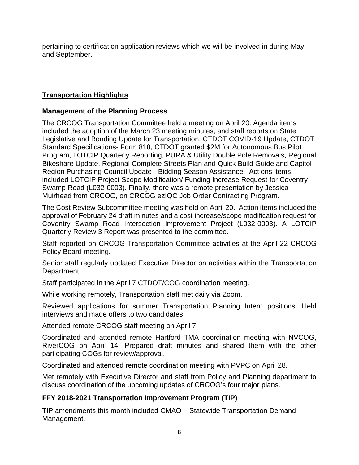pertaining to certification application reviews which we will be involved in during May and September.

# **Transportation Highlights**

#### **Management of the Planning Process**

The CRCOG Transportation Committee held a meeting on April 20. Agenda items included the adoption of the March 23 meeting minutes, and staff reports on State Legislative and Bonding Update for Transportation, CTDOT COVID-19 Update, CTDOT Standard Specifications- Form 818, [CTDOT granted \\$2M for A](https://www.hartfordbusiness.com/article/ct-dot-receives-2m-federal-grant-for-autonomous-bus-pilot-program?utm_source=Newsletter&utm_medium=email&utm_content=%24250M+Distribution+Center+Proposed+%7C+5K+Bridge+Loan+Applications&utm_campaign=HBJ+Today+040820)utonomous Bus Pilot Program, LOTCIP Quarterly Reporting, PURA & Utility Double Pole Removals, Regional Bikeshare Update, Regional Complete Streets Plan and Quick Build Guide and Capitol Region Purchasing Council Update - Bidding Season Assistance. Actions items included LOTCIP Project Scope Modification/ Funding Increase Request for Coventry Swamp Road (L032-0003). Finally, there was a remote presentation by Jessica Muirhead from CRCOG, on CRCOG ezIQC Job Order Contracting Program.

The Cost Review Subcommittee meeting was held on April 20. Action items included the approval of February 24 draft minutes and a cost increase/scope modification request for Coventry Swamp Road Intersection Improvement Project (L032-0003). A LOTCIP Quarterly Review 3 Report was presented to the committee.

Staff reported on CRCOG Transportation Committee activities at the April 22 CRCOG Policy Board meeting.

Senior staff regularly updated Executive Director on activities within the Transportation Department.

Staff participated in the April 7 CTDOT/COG coordination meeting.

While working remotely, Transportation staff met daily via Zoom.

Reviewed applications for summer Transportation Planning Intern positions. Held interviews and made offers to two candidates.

Attended remote CRCOG staff meeting on April 7.

Coordinated and attended remote Hartford TMA coordination meeting with NVCOG, RiverCOG on April 14. Prepared draft minutes and shared them with the other participating COGs for review/approval.

Coordinated and attended remote coordination meeting with PVPC on April 28.

Met remotely with Executive Director and staff from Policy and Planning department to discuss coordination of the upcoming updates of CRCOG's four major plans.

#### **FFY 2018-2021 Transportation Improvement Program (TIP)**

TIP amendments this month included CMAQ – Statewide Transportation Demand Management.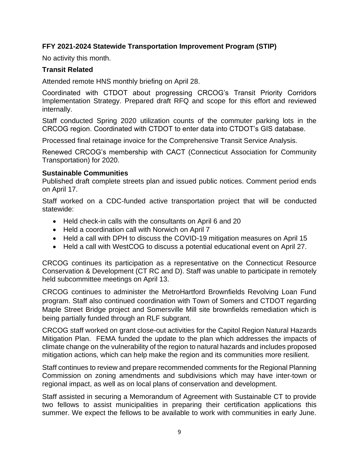## **FFY 2021-2024 Statewide Transportation Improvement Program (STIP)**

No activity this month.

#### **Transit Related**

Attended remote HNS monthly briefing on April 28.

Coordinated with CTDOT about progressing CRCOG's Transit Priority Corridors Implementation Strategy. Prepared draft RFQ and scope for this effort and reviewed internally.

Staff conducted Spring 2020 utilization counts of the commuter parking lots in the CRCOG region. Coordinated with CTDOT to enter data into CTDOT's GIS database.

Processed final retainage invoice for the Comprehensive Transit Service Analysis.

Renewed CRCOG's membership with CACT (Connecticut Association for Community Transportation) for 2020.

#### **Sustainable Communities**

Published draft complete streets plan and issued public notices. Comment period ends on April 17.

Staff worked on a CDC-funded active transportation project that will be conducted statewide:

- Held check-in calls with the consultants on April 6 and 20
- Held a coordination call with Norwich on April 7
- Held a call with DPH to discuss the COVID-19 mitigation measures on April 15
- Held a call with WestCOG to discuss a potential educational event on April 27.

CRCOG continues its participation as a representative on the Connecticut Resource Conservation & Development (CT RC and D). Staff was unable to participate in remotely held subcommittee meetings on April 13.

CRCOG continues to administer the MetroHartford Brownfields Revolving Loan Fund program. Staff also continued coordination with Town of Somers and CTDOT regarding Maple Street Bridge project and Somersville Mill site brownfields remediation which is being partially funded through an RLF subgrant.

CRCOG staff worked on grant close-out activities for the Capitol Region Natural Hazards Mitigation Plan. FEMA funded the update to the plan which addresses the impacts of climate change on the vulnerability of the region to natural hazards and includes proposed mitigation actions, which can help make the region and its communities more resilient.

Staff continues to review and prepare recommended comments for the Regional Planning Commission on zoning amendments and subdivisions which may have inter-town or regional impact, as well as on local plans of conservation and development.

Staff assisted in securing a Memorandum of Agreement with Sustainable CT to provide two fellows to assist municipalities in preparing their certification applications this summer. We expect the fellows to be available to work with communities in early June.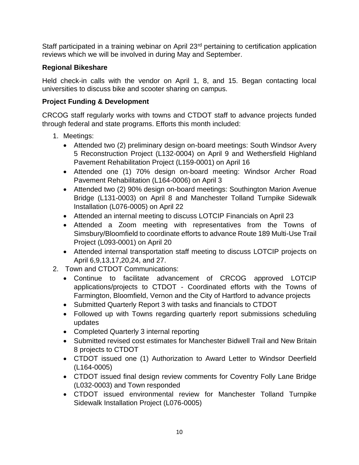Staff participated in a training webinar on April 23<sup>rd</sup> pertaining to certification application reviews which we will be involved in during May and September.

# **Regional Bikeshare**

Held check-in calls with the vendor on April 1, 8, and 15. Began contacting local universities to discuss bike and scooter sharing on campus.

# **Project Funding & Development**

CRCOG staff regularly works with towns and CTDOT staff to advance projects funded through federal and state programs. Efforts this month included:

- 1. Meetings:
	- Attended two (2) preliminary design on-board meetings: South Windsor Avery 5 Reconstruction Project (L132-0004) on April 9 and Wethersfield Highland Pavement Rehabilitation Project (L159-0001) on April 16
	- Attended one (1) 70% design on-board meeting: Windsor Archer Road Pavement Rehabilitation (L164-0006) on April 3
	- Attended two (2) 90% design on-board meetings: Southington Marion Avenue Bridge (L131-0003) on April 8 and Manchester Tolland Turnpike Sidewalk Installation (L076-0005) on April 22
	- Attended an internal meeting to discuss LOTCIP Financials on April 23
	- Attended a Zoom meeting with representatives from the Towns of Simsbury/Bloomfield to coordinate efforts to advance Route 189 Multi-Use Trail Project (L093-0001) on April 20
	- Attended internal transportation staff meeting to discuss LOTCIP projects on April 6,9,13,17,20,24, and 27.
- 2. Town and CTDOT Communications:
	- Continue to facilitate advancement of CRCOG approved LOTCIP applications/projects to CTDOT - Coordinated efforts with the Towns of Farmington, Bloomfield, Vernon and the City of Hartford to advance projects
	- Submitted Quarterly Report 3 with tasks and financials to CTDOT
	- Followed up with Towns regarding quarterly report submissions scheduling updates
	- Completed Quarterly 3 internal reporting
	- Submitted revised cost estimates for Manchester Bidwell Trail and New Britain 8 projects to CTDOT
	- CTDOT issued one (1) Authorization to Award Letter to Windsor Deerfield (L164-0005)
	- CTDOT issued final design review comments for Coventry Folly Lane Bridge (L032-0003) and Town responded
	- CTDOT issued environmental review for Manchester Tolland Turnpike Sidewalk Installation Project (L076-0005)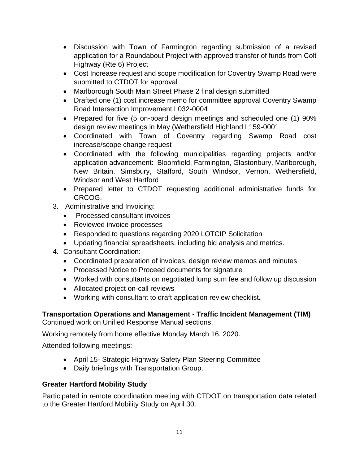- Discussion with Town of Farmington regarding submission of a revised application for a Roundabout Project with approved transfer of funds from Colt Highway (Rte 6) Project
- Cost Increase request and scope modification for Coventry Swamp Road were submitted to CTDOT for approval
- Marlborough South Main Street Phase 2 final design submitted
- Drafted one (1) cost increase memo for committee approval Coventry Swamp Road Intersection Improvement L032-0004
- Prepared for five (5 on-board design meetings and scheduled one (1) 90% design review meetings in May (Wethersfield Highland L159-0001
- Coordinated with Town of Coventry regarding Swamp Road cost increase/scope change request
- Coordinated with the following municipalities regarding projects and/or application advancement: Bloomfield, Farmington, Glastonbury, Marlborough, New Britain, Simsbury, Stafford, South Windsor, Vernon, Wethersfield, Windsor and West Hartford
- Prepared letter to CTDOT requesting additional administrative funds for CRCOG.
- 3. Administrative and Invoicing:
	- Processed consultant invoices
	- Reviewed invoice processes
	- Responded to questions regarding 2020 LOTCIP Solicitation
	- Updating financial spreadsheets, including bid analysis and metrics.
- 4. Consultant Coordination:
	- Coordinated preparation of invoices, design review memos and minutes
	- Processed Notice to Proceed documents for signature
	- Worked with consultants on negotiated lump sum fee and follow up discussion
	- Allocated project on-call reviews
	- Working with consultant to draft application review checklist**.**

# **Transportation Operations and Management - Traffic Incident Management (TIM)**

Continued work on Unified Response Manual sections.

Working remotely from home effective Monday March 16, 2020.

Attended following meetings:

- April 15- Strategic Highway Safety Plan Steering Committee
- Daily briefings with Transportation Group.

## **Greater Hartford Mobility Study**

Participated in remote coordination meeting with CTDOT on transportation data related to the Greater Hartford Mobility Study on April 30.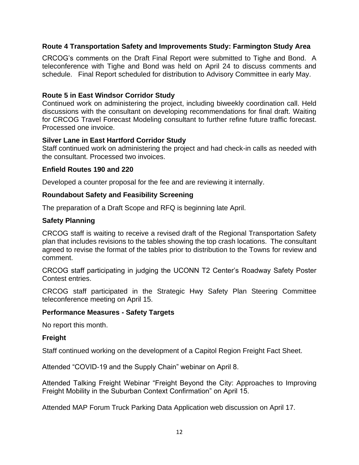#### **Route 4 Transportation Safety and Improvements Study: Farmington Study Area**

CRCOG's comments on the Draft Final Report were submitted to Tighe and Bond. A teleconference with Tighe and Bond was held on April 24 to discuss comments and schedule. Final Report scheduled for distribution to Advisory Committee in early May.

#### **Route 5 in East Windsor Corridor Study**

Continued work on administering the project, including biweekly coordination call. Held discussions with the consultant on developing recommendations for final draft. Waiting for CRCOG Travel Forecast Modeling consultant to further refine future traffic forecast. Processed one invoice.

#### **Silver Lane in East Hartford Corridor Study**

Staff continued work on administering the project and had check-in calls as needed with the consultant. Processed two invoices.

#### **Enfield Routes 190 and 220**

Developed a counter proposal for the fee and are reviewing it internally.

#### **Roundabout Safety and Feasibility Screening**

The preparation of a Draft Scope and RFQ is beginning late April.

#### **Safety Planning**

CRCOG staff is waiting to receive a revised draft of the Regional Transportation Safety plan that includes revisions to the tables showing the top crash locations. The consultant agreed to revise the format of the tables prior to distribution to the Towns for review and comment.

CRCOG staff participating in judging the UCONN T2 Center's Roadway Safety Poster Contest entries.

CRCOG staff participated in the Strategic Hwy Safety Plan Steering Committee teleconference meeting on April 15.

#### **Performance Measures - Safety Targets**

No report this month.

## **Freight**

Staff continued working on the development of a Capitol Region Freight Fact Sheet.

Attended "COVID-19 and the Supply Chain" webinar on April 8.

Attended Talking Freight Webinar "Freight Beyond the City: Approaches to Improving Freight Mobility in the Suburban Context Confirmation" on April 15.

Attended MAP Forum Truck Parking Data Application web discussion on April 17.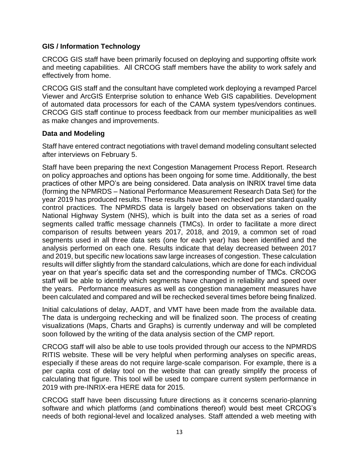#### **GIS / Information Technology**

CRCOG GIS staff have been primarily focused on deploying and supporting offsite work and meeting capabilities. All CRCOG staff members have the ability to work safely and effectively from home.

CRCOG GIS staff and the consultant have completed work deploying a revamped Parcel Viewer and ArcGIS Enterprise solution to enhance Web GIS capabilities. Development of automated data processors for each of the CAMA system types/vendors continues. CRCOG GIS staff continue to process feedback from our member municipalities as well as make changes and improvements.

#### **Data and Modeling**

Staff have entered contract negotiations with travel demand modeling consultant selected after interviews on February 5.

Staff have been preparing the next Congestion Management Process Report. Research on policy approaches and options has been ongoing for some time. Additionally, the best practices of other MPO's are being considered. Data analysis on INRIX travel time data (forming the NPMRDS – National Performance Measurement Research Data Set) for the year 2019 has produced results. These results have been rechecked per standard quality control practices. The NPMRDS data is largely based on observations taken on the National Highway System (NHS), which is built into the data set as a series of road segments called traffic message channels (TMCs). In order to facilitate a more direct comparison of results between years 2017, 2018, and 2019, a common set of road segments used in all three data sets (one for each year) has been identified and the analysis performed on each one. Results indicate that delay decreased between 2017 and 2019, but specific new locations saw large increases of congestion. These calculation results will differ slightly from the standard calculations, which are done for each individual year on that year's specific data set and the corresponding number of TMCs. CRCOG staff will be able to identify which segments have changed in reliability and speed over the years. Performance measures as well as congestion management measures have been calculated and compared and will be rechecked several times before being finalized.

Initial calculations of delay, AADT, and VMT have been made from the available data. The data is undergoing rechecking and will be finalized soon. The process of creating visualizations (Maps, Charts and Graphs) is currently underway and will be completed soon followed by the writing of the data analysis section of the CMP report.

CRCOG staff will also be able to use tools provided through our access to the NPMRDS RITIS website. These will be very helpful when performing analyses on specific areas, especially if these areas do not require large-scale comparison. For example, there is a per capita cost of delay tool on the website that can greatly simplify the process of calculating that figure. This tool will be used to compare current system performance in 2019 with pre-INRIX-era HERE data for 2015.

CRCOG staff have been discussing future directions as it concerns scenario-planning software and which platforms (and combinations thereof) would best meet CRCOG's needs of both regional-level and localized analyses. Staff attended a web meeting with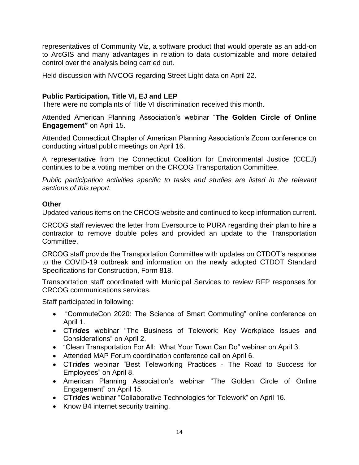representatives of Community Viz, a software product that would operate as an add-on to ArcGIS and many advantages in relation to data customizable and more detailed control over the analysis being carried out.

Held discussion with NVCOG regarding Street Light data on April 22.

## **Public Participation, Title VI, EJ and LEP**

There were no complaints of Title VI discrimination received this month.

Attended American Planning Association's webinar "**The Golden Circle of Online Engagement"** on April 15.

Attended Connecticut Chapter of American Planning Association's Zoom conference on conducting virtual public meetings on April 16.

A representative from the Connecticut Coalition for Environmental Justice (CCEJ) continues to be a voting member on the CRCOG Transportation Committee.

*Public participation activities specific to tasks and studies are listed in the relevant sections of this report.*

#### **Other**

Updated various items on the CRCOG website and continued to keep information current.

CRCOG staff reviewed the letter from Eversource to PURA regarding their plan to hire a contractor to remove double poles and provided an update to the Transportation Committee.

CRCOG staff provide the Transportation Committee with updates on CTDOT's response to the COVID-19 outbreak and information on the newly adopted CTDOT Standard Specifications for Construction, Form 818.

Transportation staff coordinated with Municipal Services to review RFP responses for CRCOG communications services.

Staff participated in following:

- "CommuteCon 2020: The Science of Smart Commuting" online conference on April 1.
- CT*rides* webinar "The Business of Telework: Key Workplace Issues and Considerations" on April 2.
- "Clean Transportation For All: What Your Town Can Do" webinar on April 3.
- Attended MAP Forum coordination conference call on April 6.
- CT*rides* webinar "Best Teleworking Practices The Road to Success for Employees" on April 8.
- American Planning Association's webinar "The Golden Circle of Online Engagement" on April 15.
- CT*rides* webinar "Collaborative Technologies for Telework" on April 16.
- Know B4 internet security training.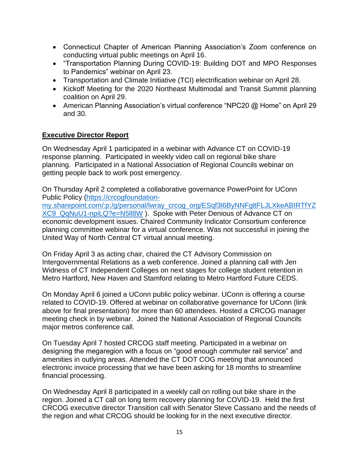- Connecticut Chapter of American Planning Association's Zoom conference on conducting virtual public meetings on April 16.
- "Transportation Planning During COVID-19: Building DOT and MPO Responses to Pandemics" webinar on April 23.
- Transportation and Climate Initiative (TCI) electrification webinar on April 28.
- Kickoff Meeting for the 2020 Northeast Multimodal and Transit Summit planning coalition on April 29.
- American Planning Association's virtual conference "NPC20 @ Home" on April 29 and 30.

# **Executive Director Report**

On Wednesday April 1 participated in a webinar with Advance CT on COVID-19 response planning. Participated in weekly video call on regional bike share planning. Participated in a National Association of Regional Councils webinar on getting people back to work post emergency.

On Thursday April 2 completed a collaborative governance PowerPoint for UConn Public Policy [\(https://crcogfoundation-](https://crcogfoundation-my.sharepoint.com/:p:/g/personal/lwray_crcog_org/ESqf3l6ByNNFgltFLJLXkeABIRTfYZXC9_QqNuU1-npiLQ?e=N5ll8W)

[my.sharepoint.com/:p:/g/personal/lwray\\_crcog\\_org/ESqf3l6ByNNFgltFLJLXkeABIRTfYZ](https://crcogfoundation-my.sharepoint.com/:p:/g/personal/lwray_crcog_org/ESqf3l6ByNNFgltFLJLXkeABIRTfYZXC9_QqNuU1-npiLQ?e=N5ll8W) [XC9\\_QqNuU1-npiLQ?e=N5ll8W](https://crcogfoundation-my.sharepoint.com/:p:/g/personal/lwray_crcog_org/ESqf3l6ByNNFgltFLJLXkeABIRTfYZXC9_QqNuU1-npiLQ?e=N5ll8W) ). Spoke with Peter Denious of Advance CT on economic development issues. Chaired Community Indicator Consortium conference planning committee webinar for a virtual conference. Was not successful in joining the United Way of North Central CT virtual annual meeting.

On Friday April 3 as acting chair, chaired the CT Advisory Commission on Intergovernmental Relations as a web conference. Joined a planning call with Jen Widness of CT Independent Colleges on next stages for college student retention in Metro Hartford, New Haven and Stamford relating to Metro Hartford Future CEDS.

On Monday April 6 joined a UConn public policy webinar. UConn is offering a course related to COVID-19. Offered at webinar on collaborative governance for UConn (link above for final presentation) for more than 60 attendees. Hosted a CRCOG manager meeting check in by webinar. Joined the National Association of Regional Councils major metros conference call.

On Tuesday April 7 hosted CRCOG staff meeting. Participated in a webinar on designing the megaregion with a focus on "good enough commuter rail service" and amenities in outlying areas. Attended the CT DOT COG meeting that announced electronic invoice processing that we have been asking for 18 months to streamline financial processing.

On Wednesday April 8 participated in a weekly call on rolling out bike share in the region. Joined a CT call on long term recovery planning for COVID-19. Held the first CRCOG executive director Transition call with Senator Steve Cassano and the needs of the region and what CRCOG should be looking for in the next executive director.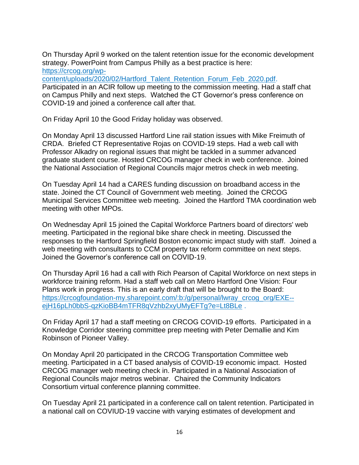On Thursday April 9 worked on the talent retention issue for the economic development strategy. PowerPoint from Campus Philly as a best practice is here: [https://crcog.org/wp-](https://crcog.org/wp-content/uploads/2020/02/Hartford_Talent_Retention_Forum_Feb_2020.pdf)

[content/uploads/2020/02/Hartford\\_Talent\\_Retention\\_Forum\\_Feb\\_2020.pdf.](https://crcog.org/wp-content/uploads/2020/02/Hartford_Talent_Retention_Forum_Feb_2020.pdf) Participated in an ACIR follow up meeting to the commission meeting. Had a staff chat on Campus Philly and next steps. Watched the CT Governor's press conference on COVID-19 and joined a conference call after that.

On Friday April 10 the Good Friday holiday was observed.

On Monday April 13 discussed Hartford Line rail station issues with Mike Freimuth of CRDA. Briefed CT Representative Rojas on COVID-19 steps. Had a web call with Professor Alkadry on regional issues that might be tackled in a summer advanced graduate student course. Hosted CRCOG manager check in web conference. Joined the National Association of Regional Councils major metros check in web meeting.

On Tuesday April 14 had a CARES funding discussion on broadband access in the state. Joined the CT Council of Government web meeting. Joined the CRCOG Municipal Services Committee web meeting. Joined the Hartford TMA coordination web meeting with other MPOs.

On Wednesday April 15 joined the Capital Workforce Partners board of directors' web meeting. Participated in the regional bike share check in meeting. Discussed the responses to the Hartford Springfield Boston economic impact study with staff. Joined a web meeting with consultants to CCM property tax reform committee on next steps. Joined the Governor's conference call on COVID-19.

On Thursday April 16 had a call with Rich Pearson of Capital Workforce on next steps in workforce training reform. Had a staff web call on Metro Hartford One Vision: Four Plans work in progress. This is an early draft that will be brought to the Board: [https://crcogfoundation-my.sharepoint.com/:b:/g/personal/lwray\\_crcog\\_org/EXE-](https://crcogfoundation-my.sharepoint.com/:b:/g/personal/lwray_crcog_org/EXE--ejH16pLh0bbS-qzKioBB4mTFR8qVzhb2xyUMyEFTg?e=Lt8BLe) [ejH16pLh0bbS-qzKioBB4mTFR8qVzhb2xyUMyEFTg?e=Lt8BLe](https://crcogfoundation-my.sharepoint.com/:b:/g/personal/lwray_crcog_org/EXE--ejH16pLh0bbS-qzKioBB4mTFR8qVzhb2xyUMyEFTg?e=Lt8BLe) .

On Friday April 17 had a staff meeting on CRCOG COVID-19 efforts. Participated in a Knowledge Corridor steering committee prep meeting with Peter Demallie and Kim Robinson of Pioneer Valley.

On Monday April 20 participated in the CRCOG Transportation Committee web meeting. Participated in a CT based analysis of COVID-19 economic impact. Hosted CRCOG manager web meeting check in. Participated in a National Association of Regional Councils major metros webinar. Chaired the Community Indicators Consortium virtual conference planning committee.

On Tuesday April 21 participated in a conference call on talent retention. Participated in a national call on COVIUD-19 vaccine with varying estimates of development and